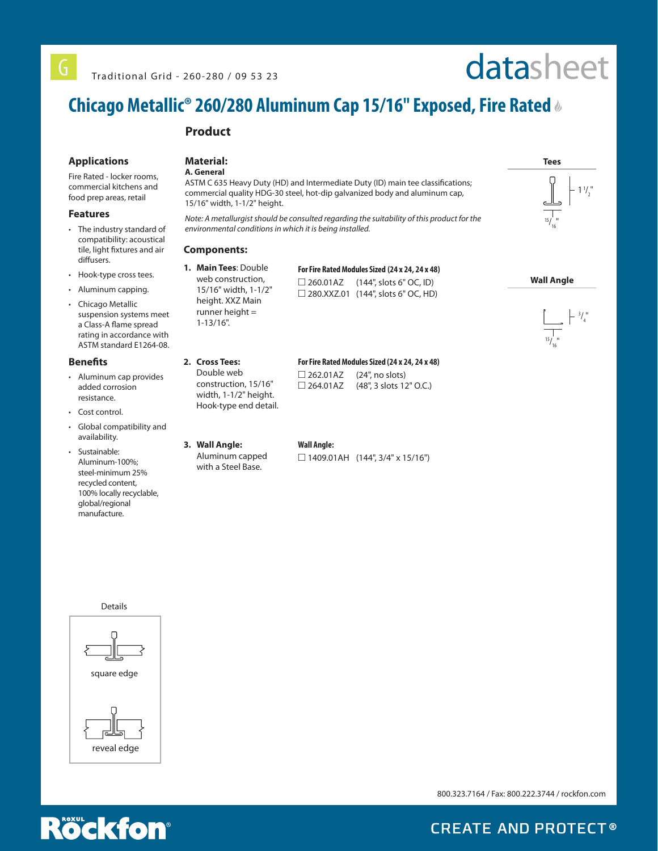# datasheet

# **Chicago Metallic® 260/280 Aluminum Cap 15/16" Exposed, Fire Rated**

### **Product**

### **Applications**

Fire Rated - locker rooms, commercial kitchens and food prep areas, retail

#### **Features**

- The industry standard of compatibility: acoustical tile, light fixtures and air diffusers.
- Hook-type cross tees.
- Aluminum capping.
- Chicago Metallic suspension systems meet a Class-A flame spread rating in accordance with ASTM standard E1264-08.

#### **Benefits**

- Aluminum cap provides added corrosion resistance.
- Cost control.
- Global compatibility and availability.
- Sustainable: Aluminum-100%; steel-minimum 25% recycled content, 100% locally recyclable, global/regional manufacture.



ASTM C 635 Heavy Duty (HD) and Intermediate Duty (ID) main tee classifications; commercial quality HDG-30 steel, hot-dip galvanized body and aluminum cap, 15/16" width, 1-1/2" height.

*Note: A metallurgist should be consulted regarding the suitability of this product for the environmental conditions in which it is being installed.*

### **Components:**

**2. Cross Tees:** Double web construction, 15/16" width, 1-1/2" height. Hook-type end detail.

**1. Main Tees**: Double web construction, 15/16" width, 1-1/2" height. XXZ Main runner height = 1-13/16".

### **For Fire Rated Modules Sized (24 x 24, 24 x 48)**  $\Box$  260.01AZ (144", slots 6" OC, ID)

□ 280.XXZ.01 (144", slots 6" OC, HD)

### **For Fire Rated Modules Sized (24 x 24, 24 x 48)**

 $\Box$  262.01AZ (24", no slots) □ 264.01AZ (48", 3 slots 12" O.C.)

**3. Wall Angle:**

### Aluminum capped with a Steel Base.

### **Wall Angle:**

 $\Box$  1409.01AH (144", 3/4" x 15/16")



800.323.7164 / Fax: 800.222.3744 / rockfon.com



**CREATE AND PROTECT®**